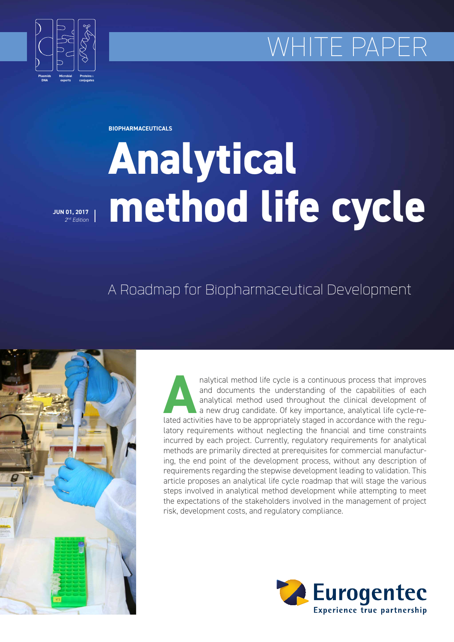# WHITE PAPER



**BIOPHARMACEUTICALS**

# **Analytical method life cycle**

**JUN 01, 2017** *2nd Edition*

# A Roadmap for Biopharmaceutical Development



Analytical method life cycle is a continuous process that improves<br>
and documents the understanding of the capabilities of each<br>
analytical method used throughout the clinical development of<br>
a new drug candidate. Of key i and documents the understanding of the capabilities of each analytical method used throughout the clinical development of a new drug candidate. Of key importance, analytical life cycle-relatory requirements without neglecting the financial and time constraints incurred by each project. Currently, regulatory requirements for analytical methods are primarily directed at prerequisites for commercial manufacturing, the end point of the development process, without any description of requirements regarding the stepwise development leading to validation. This article proposes an analytical life cycle roadmap that will stage the various steps involved in analytical method development while attempting to meet the expectations of the stakeholders involved in the management of project risk, development costs, and regulatory compliance.

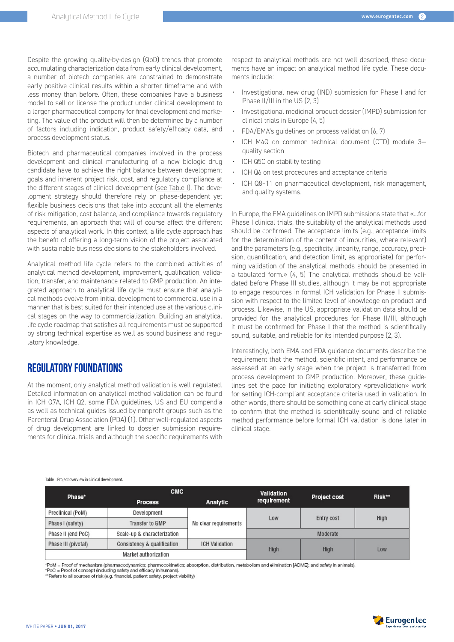Despite the growing quality-by-design (QbD) trends that promote accumulating characterization data from early clinical development, a number of biotech companies are constrained to demonstrate early positive clinical results within a shorter timeframe and with less money than before. Often, these companies have a business model to sell or license the product under clinical development to a larger pharmaceutical company for final development and marketing. The value of the product will then be determined by a number of factors including indication, product safety/efficacy data, and process development status.

Biotech and pharmaceutical companies involved in the process development and clinical manufacturing of a new biologic drug candidate have to achieve the right balance between development goals and inherent project risk, cost, and regulatory compliance at the different stages of clinical development (see Table I). The development strategy should therefore rely on phase-dependent yet flexible business decisions that take into account all the elements of risk mitigation, cost balance, and compliance towards regulatory requirements, an approach that will of course affect the different aspects of analytical work. In this context, a life cycle approach has the benefit of offering a long-term vision of the project associated with sustainable business decisions to the stakeholders involved.

Analytical method life cycle refers to the combined activities of analytical method development, improvement, qualification, validation, transfer, and maintenance related to GMP production. An integrated approach to analytical life cycle must ensure that analytical methods evolve from initial development to commercial use in a manner that is best suited for their intended use at the various clinical stages on the way to commercialization. Building an analytical life cycle roadmap that satisfies all requirements must be supported by strong technical expertise as well as sound business and regulatory knowledge.

# REGULATORY FOUNDATIONS

At the moment, only analytical method validation is well regulated. Detailed information on analytical method validation can be found in ICH Q7A, ICH Q2, some FDA guidelines, US and EU compendia as well as technical guides issued by nonprofit groups such as the Parenteral Drug Association (PDA) (1). Other well-regulated aspects of drug development are linked to dossier submission requirements for clinical trials and although the specific requirements with

respect to analytical methods are not well described, these documents have an impact on analytical method life cycle. These documents include :

- Investigational new drug (IND) submission for Phase I and for Phase II/III in the US (2, 3)
- Investigational medicinal product dossier (IMPD) submission for clinical trials in Europe (4, 5)
- FDA/EMA's guidelines on process validation (6, 7)
- ICH M4Q on common technical document (CTD) module 3 quality section
- ICH Q5C on stability testing
- ICH Q6 on test procedures and acceptance criteria
- ICH Q8–11 on pharmaceutical development, risk management, and quality systems.

In Europe, the EMA guidelines on IMPD submissions state that «...for Phase I clinical trials, the suitability of the analytical methods used should be confirmed. The acceptance limits (e.g., acceptance limits for the determination of the content of impurities, where relevant) and the parameters (e.g., specificity, linearity, range, accuracy, precision, quantification, and detection limit, as appropriate) for performing validation of the analytical methods should be presented in a tabulated form.» (4, 5) The analytical methods should be validated before Phase III studies, although it may be not appropriate to engage resources in formal ICH validation for Phase II submission with respect to the limited level of knowledge on product and process. Likewise, in the US, appropriate validation data should be provided for the analytical procedures for Phase II/III, although it must be confirmed for Phase I that the method is scientifically sound, suitable, and reliable for its intended purpose (2, 3).

Interestingly, both EMA and FDA guidance documents describe the requirement that the method, scientific intent, and performance be assessed at an early stage when the project is transferred from process development to GMP production. Moreover, these guidelines set the pace for initiating exploratory «prevalidation» work for setting ICH-compliant acceptance criteria used in validation. In other words, there should be something done at early clinical stage to confirm that the method is scientifically sound and of reliable method performance before formal ICH validation is done later in clinical stage.

#### Table I: Project overview in clinical development.

| Phase*              | <b>CMC</b>                  |                       | Validation  |                     | Risk** |
|---------------------|-----------------------------|-----------------------|-------------|---------------------|--------|
|                     | <b>Process</b>              | Analytic              | requirement | <b>Project cost</b> |        |
| Preclinical (PoM)   | Development                 |                       | Low         | Entry cost          | High   |
| Phase I (safety)    | Transfer to GMP             | No clear requirements |             |                     |        |
| Phase II (end PoC)  | Scale-up & characterization |                       | Moderate    |                     |        |
| Phase III (pivotal) | Consistency & qualification | <b>ICH Validation</b> | High        | High                | Low    |
|                     | Market authorization        |                       |             |                     |        |

.<br>\*PoM = Proof of mechanism (pharmacodynamics; pharmocokinetics; absorption, distribution, metabolism and elimination [ADME]; and safety in animals).

\*PoC = Proof of concept (including safety and efficacy in humans)

\*\*Refers to all sources of risk (e.g. financial, patient safety, project viability)

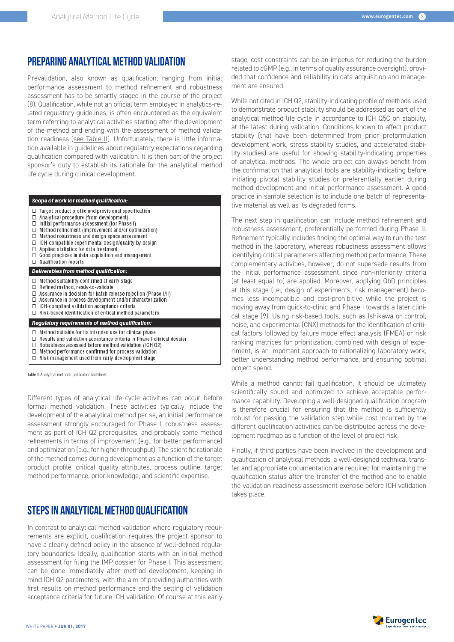# PREPARING ANALYTICAL METHOD VALIDATION

Prevalidation, also known as qualification, ranging from initial performance assessment to method refinement and robustness assessment has to be smartly staged in the course of the project (8). Qualification, while not an official term employed in analytics-related regulatory guidelines, is often encountered as the equivalent term referring to analytical activities starting after the development of the method and ending with the assessment of method validation readiness (see Table II). Unfortunately, there is little information available in guidelines about regulatory expectations regarding qualification compared with validation. It is then part of the project sponsor's duty to establish its rationale for the analytical method life cycle during clinical development.

- Scope of work for method qualification:
- $\Box$ Target product profile and provisional specification
- Analytical procedure (from development) П
- Initial performance assessment (for Phase I)  $\Box$
- Method refinement (improvement and/or optimization)  $\Box$ Method robustness and design space assessment  $\Box$
- □ ICH-compatible experimental design/quality by design
- Applied statistics for data treatment  $\Box$
- ō Good practices in data acquisition and management
- $\Box$ Qualification reports

#### Deliverables from method qualification:

- Method suitability confirmed at early stage  $\Box$
- $\overline{\Pi}$ Refined method, ready-to-validate
- $\Box$ Assurance in decision for batch release rejection (Phase I/II)
- Assurance in process development and/or characterization  $\Box$
- ICH-compliant validation acceptance criteria  $\Box$  Risk-based identification of critical method parameters
- 

## Regulatory requirements of method qualification:

- $\Box$  Method suitable for its intended use for clinical phase
- Results and validation acceptance criteria in Phase I clinical dossier  $\Box$
- Robustness assessed before method validation (ICH Q2)  $\Box$
- Method performance confirmed for process validation  $\Box$
- $\Box$  Risk management used from early development stage

Table II: Analytical method qualification factsheet.

Different types of analytical life cycle activities can occur before formal method validation. These activities typically include the development of the analytical method per se, an initial performance assessment strongly encouraged for Phase I, robustness assessment as part of ICH Q2 prerequisites, and probably some method refinements in terms of improvement (e.g., for better performance) and optimization (e.g., for higher throughput). The scientific rationale of the method comes during development as a function of the target product profile, critical quality attributes, process outline, target method performance, prior knowledge, and scientific expertise.

# STEPS IN ANALYTICAL METHOD QUALIFICATION

In contrast to analytical method validation where regulatory requirements are explicit, qualification requires the project sponsor to have a clearly defined policy in the absence of well-defined regulatory boundaries. Ideally, qualification starts with an initial method assessment for filing the IMP dossier for Phase I. This assessment can be done immediately after method development, keeping in mind ICH Q2 parameters, with the aim of providing authorities with first results on method performance and the setting of validation acceptance criteria for future ICH validation. Of course at this early

stage, cost constraints can be an impetus for reducing the burden related to cGMP (e.g., in terms of quality assurance oversight), provided that confidence and reliability in data acquisition and management are ensured.

While not cited in ICH Q2, stability-indicating profile of methods used to demonstrate product stability should be addressed as part of the analytical method life cycle in accordance to ICH Q5C on stability, at the latest during validation. Conditions known to affect product stability (that have been determined from prior preformulation development work, stress stability studies, and accelerated stability studies) are useful for showing stability-indicating properties of analytical methods. The whole project can always benefit from the confirmation that analytical tools are stability-indicating before initiating pivotal stability studies or preferentially earlier during method development and initial performance assessment. A good practice in sample selection is to include one batch of representative material as well as its degraded forms.

The next step in qualification can include method refinement and robustness assessment, preferentially performed during Phase II. Refinement typically includes finding the optimal way to run the test method in the laboratory, whereas robustness assessment allows identifying critical parameters affecting method performance. These complementary activities, however, do not supersede results from the initial performance assessment since non-inferiority criteria (at least equal to) are applied. Moreover, applying QbD principles at this stage (i.e., design of experiments, risk management) becomes less incompatible and cost-prohibitive while the project is moving away from quick-to-clinic and Phase I towards a later clinical stage (9). Using risk-based tools, such as Ishikawa or control, noise, and experimental (CNX) methods for the identification of critical factors followed by failure mode effect analysis (FMEA) or risk ranking matrices for prioritization, combined with design of experiment, is an important approach to rationalizing laboratory work, better understanding method performance, and ensuring optimal project spend.

While a method cannot fail qualification, it should be ultimately scientifically sound and optimized to achieve acceptable performance capability. Developing a well-designed qualification program is therefore crucial for ensuring that the method is sufficiently robust for passing the validation step while cost incurred by the different qualification activities can be distributed across the development roadmap as a function of the level of project risk.

Finally, if third parties have been involved in the development and qualification of analytical methods, a well-designed technical transfer and appropriate documentation are required for maintaining the qualification status after the transfer of the method and to enable the validation readiness assessment exercise before ICH validation takes place.

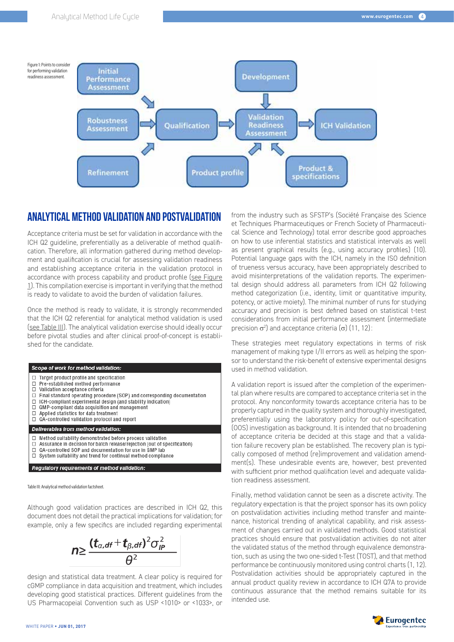

# ANALYTICAL METHOD VALIDATION AND POSTVALIDATION

Acceptance criteria must be set for validation in accordance with the ICH Q2 guideline, preferentially as a deliverable of method qualification. Therefore, all information gathered during method development and qualification is crucial for assessing validation readiness and establishing acceptance criteria in the validation protocol in accordance with process capability and product profile (see Figure 1). This compilation exercise is important in verifying that the method is ready to validate to avoid the burden of validation failures.

Once the method is ready to validate, it is strongly recommended that the ICH Q2 referential for analytical method validation is used (see Table III). The analytical validation exercise should ideally occur before pivotal studies and after clinical proof-of-concept is established for the candidate.

#### Scope of work for method validation:

- Target product profile and specification  $\Box$
- Pre-established method performance  $\Box$  $\Box$ Validation acceptance criteria
- $\Box$
- Final standard operating procedure (SOP) and corresponding documentation  $\Box$ ICH-compliant experimental design (and stability indication)
- ā GMP-compliant data acquisition and management
- $\Box$ Applied statistics for data treatment
- $\Box$ QA-controlled validation protocol and report

#### Deliverables from method validation:

- Method suitability demonstrated before process validation  $\Box$
- $\Box$ Assurance in decision for batch release/rejection (out of specification)
- QA-controlled SOP and documentation for use in GMP lab  $\Box$ System suitability and trend for continual method compliance

### Regulatory requirements of method validation:

Table III: Analytical method validation factsheet.

Although good validation practices are described in ICH Q2, this document does not detail the practical implications for validation; for example, only a few specifics are included regarding experimental

 $n \geq \frac{(t_{\alpha,df}+t_{\beta,df})^2 \sigma_{IP}^2}{\theta^2}$ 

design and statistical data treatment. A clear policy is required for cGMP compliance in data acquisition and treatment, which includes developing good statistical practices. Different guidelines from the US Pharmacopeial Convention such as USP <1010> or <1033>, or

from the industry such as SFSTP's (Société Française des Science et Techniques Pharmaceutiques or French Society of Pharmaceutical Science and Technology) total error describe good approaches on how to use inferential statistics and statistical intervals as well as present graphical results (e.g., using accuracy profiles) (10). Potential language gaps with the ICH, namely in the ISO definition of trueness versus accuracy, have been appropriately described to avoid misinterpretations of the validation reports. The experimental design should address all parameters from ICH Q2 following method categorization (i.e., identity, limit or quantitative impurity, potency, or active moiety). The minimal number of runs for studying accuracy and precision is best defined based on statistical t-test considerations from initial performance assessment (intermediate precision  $\sigma^2$ ) and acceptance criteria (σ) (11, 12):

These strategies meet regulatory expectations in terms of risk management of making type I/II errors as well as helping the sponsor to understand the risk-benefit of extensive experimental designs used in method validation.

A validation report is issued after the completion of the experimental plan where results are compared to acceptance criteria set in the protocol. Any nonconformity towards acceptance criteria has to be properly captured in the quality system and thoroughly investigated, preferentially using the laboratory policy for out-of-specification (OOS) investigation as background. It is intended that no broadening of acceptance criteria be decided at this stage and that a validation failure recovery plan be established. The recovery plan is typically composed of method (re)improvement and validation amendment(s). These undesirable events are, however, best prevented with sufficient prior method qualification level and adequate validation readiness assessment.

Finally, method validation cannot be seen as a discrete activity. The regulatory expectation is that the project sponsor has its own policy on postvalidation activities including method transfer and maintenance, historical trending of analytical capability, and risk assessment of changes carried out in validated methods. Good statistical practices should ensure that postvalidation activities do not alter the validated status of the method through equivalence demonstration, such as using the two one-sided t-Test (TOST), and that method performance be continuously monitored using control charts (1, 12). Postvalidation activities should be appropriately captured in the annual product quality review in accordance to ICH Q7A to provide continuous assurance that the method remains suitable for its intended use.